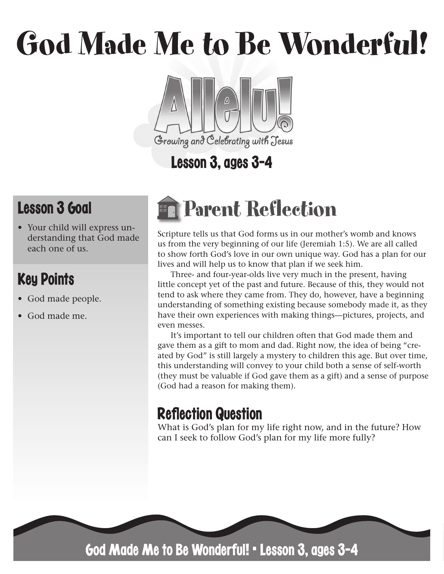# God Made Me to Be Wonderful!



# Lesson 3, ages 3-4

# Lesson 3 Goal

• Your child will express understanding that God made each one of us.

### Key Points

- God made people.
- God made me.

# Parent Reflection

Scripture tells us that God forms us in our mother's womb and knows us from the very beginning of our life (Jeremiah 1:5). We are all called to show forth God's love in our own unique way. God has a plan for our lives and will help us to know that plan if we seek him.

Three- and four-year-olds live very much in the present, having little concept yet of the past and future. Because of this, they would not tend to ask where they came from. They do, however, have a beginning understanding of something existing because somebody made it, as they have their own experiences with making things—pictures, projects, and even messes.

It's important to tell our children often that God made them and gave them as a gift to mom and dad. Right now, the idea of being "created by God" is still largely a mystery to children this age. But over time, this understanding will convey to your child both a sense of self-worth (they must be valuable if God gave them as a gift) and a sense of purpose (God had a reason for making them).

## **Reflection Question**

What is God's plan for my life right now, and in the future? How can I seek to follow God's plan for my life more fully?



God Made Me to Be Wonderful! • Lesson 3, ages 3-4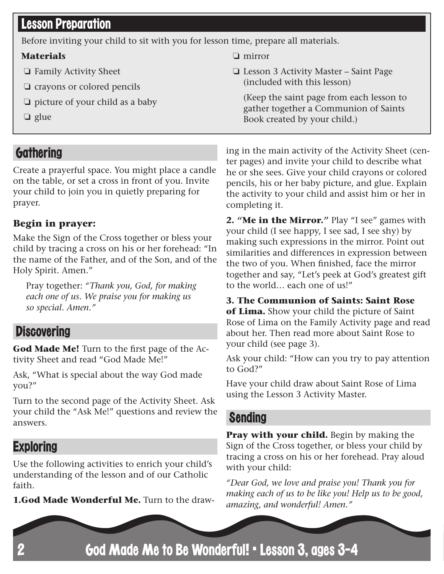#### **Lesson Preparation**

Before inviting your child to sit with you for lesson time, prepare all materials.

❏ mirror

completing it.

#### **Materials**

- ❏ Family Activity Sheet
- ❏ crayons or colored pencils
- ❏ picture of your child as a baby
- ❏ glue

#### **Gathering**

Create a prayerful space. You might place a candle on the table, or set a cross in front of you. Invite your child to join you in quietly preparing for prayer.

#### **Begin in prayer:**

Make the Sign of the Cross together or bless your child by tracing a cross on his or her forehead: "In the name of the Father, and of the Son, and of the Holy Spirit. Amen."

Pray together: *"Thank you, God, for making each one of us. We praise you for making us so special. Amen."*

#### **Discovering**

**God Made Me!** Turn to the first page of the Activity Sheet and read "God Made Me!"

Ask, "What is special about the way God made you?"

Turn to the second page of the Activity Sheet. Ask your child the "Ask Me!" questions and review the answers.

#### **Exploring**

Use the following activities to enrich your child's understanding of the lesson and of our Catholic faith.

**1.God Made Wonderful Me.** Turn to the draw-

ing in the main activity of the Activity Sheet (center pages) and invite your child to describe what he or she sees. Give your child crayons or colored pencils, his or her baby picture, and glue. Explain the activity to your child and assist him or her in

(Keep the saint page from each lesson to gather together a Communion of Saints

❏ Lesson 3 Activity Master – Saint Page

(included with this lesson)

Book created by your child.)

**2. "Me in the Mirror."** Play "I see" games with your child (I see happy, I see sad, I see shy) by making such expressions in the mirror. Point out similarities and differences in expression between the two of you. When finished, face the mirror together and say, "Let's peek at God's greatest gift to the world… each one of us!"

**3. The Communion of Saints: Saint Rose of Lima.** Show your child the picture of Saint Rose of Lima on the Family Activity page and read about her. Then read more about Saint Rose to your child (see page 3).

Ask your child: "How can you try to pay attention to God?"

Have your child draw about Saint Rose of Lima using the Lesson 3 Activity Master.

#### Sending

**Pray with your child.** Begin by making the Sign of the Cross together, or bless your child by tracing a cross on his or her forehead. Pray aloud with your child:

*"Dear God, we love and praise you! Thank you for making each of us to be like you! Help us to be good, amazing, and wonderful! Amen."*

God Made Me to Be Wonderful! • Lesson 3, ages 3-4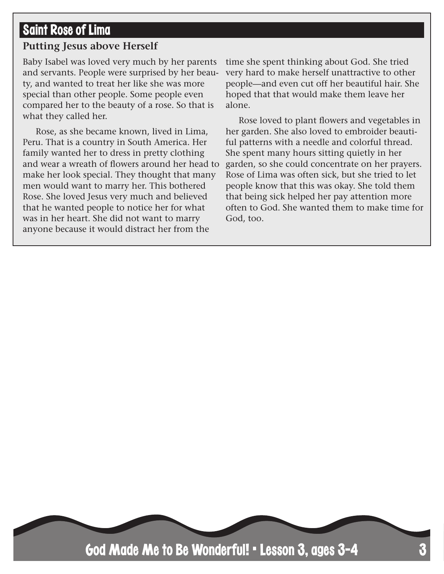#### Saint Rose of Lima

#### **Putting Jesus above Herself**

Baby Isabel was loved very much by her parents and servants. People were surprised by her beauty, and wanted to treat her like she was more special than other people. Some people even compared her to the beauty of a rose. So that is what they called her.

Rose, as she became known, lived in Lima, Peru. That is a country in South America. Her family wanted her to dress in pretty clothing and wear a wreath of flowers around her head to make her look special. They thought that many men would want to marry her. This bothered Rose. She loved Jesus very much and believed that he wanted people to notice her for what was in her heart. She did not want to marry anyone because it would distract her from the

time she spent thinking about God. She tried very hard to make herself unattractive to other people—and even cut off her beautiful hair. She hoped that that would make them leave her alone.

Rose loved to plant flowers and vegetables in her garden. She also loved to embroider beautiful patterns with a needle and colorful thread. She spent many hours sitting quietly in her garden, so she could concentrate on her prayers. Rose of Lima was often sick, but she tried to let people know that this was okay. She told them that being sick helped her pay attention more often to God. She wanted them to make time for God, too.